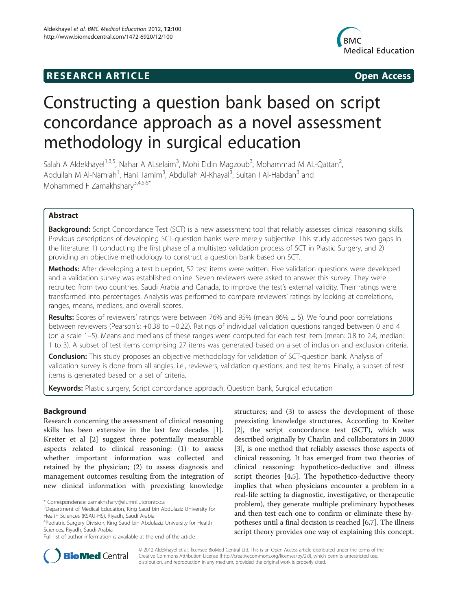# **RESEARCH ARTICLE Example 2014 12:30 The SEAR CHA RTICLE**



# Constructing a question bank based on script concordance approach as a novel assessment methodology in surgical education

Salah A Aldekhayel<sup>1,3,5</sup>, Nahar A ALselaim<sup>3</sup>, Mohi Eldin Magzoub<sup>3</sup>, Mohammad M AL-Qattan<sup>2</sup> , Abdullah M Al-Namlah<sup>1</sup>, Hani Tamim<sup>3</sup>, Abdullah Al-Khayal<sup>3</sup>, Sultan I Al-Habdan<sup>3</sup> and Mohammed F Zamakhshary<sup>3,4,5,6\*</sup>

# Abstract

Background: Script Concordance Test (SCT) is a new assessment tool that reliably assesses clinical reasoning skills. Previous descriptions of developing SCT-question banks were merely subjective. This study addresses two gaps in the literature: 1) conducting the first phase of a multistep validation process of SCT in Plastic Surgery, and 2) providing an objective methodology to construct a question bank based on SCT.

Methods: After developing a test blueprint, 52 test items were written. Five validation questions were developed and a validation survey was established online. Seven reviewers were asked to answer this survey. They were recruited from two countries, Saudi Arabia and Canada, to improve the test's external validity. Their ratings were transformed into percentages. Analysis was performed to compare reviewers' ratings by looking at correlations, ranges, means, medians, and overall scores.

**Results:** Scores of reviewers' ratings were between 76% and 95% (mean 86%  $\pm$  5). We found poor correlations between reviewers (Pearson's: +0.38 to −0.22). Ratings of individual validation questions ranged between 0 and 4 (on a scale 1–5). Means and medians of these ranges were computed for each test item (mean: 0.8 to 2.4; median: 1 to 3). A subset of test items comprising 27 items was generated based on a set of inclusion and exclusion criteria.

**Conclusion:** This study proposes an objective methodology for validation of SCT-question bank. Analysis of validation survey is done from all angles, i.e., reviewers, validation questions, and test items. Finally, a subset of test items is generated based on a set of criteria.

Keywords: Plastic surgery, Script concordance approach, Question bank, Surgical education

# Background

Research concerning the assessment of clinical reasoning skills has been extensive in the last few decades [\[1](#page-7-0)]. Kreiter et al [[2\]](#page-7-0) suggest three potentially measurable aspects related to clinical reasoning: (1) to assess whether important information was collected and retained by the physician; (2) to assess diagnosis and management outcomes resulting from the integration of new clinical information with preexisting knowledge

structures; and (3) to assess the development of those preexisting knowledge structures. According to Kreiter [[2\]](#page-7-0), the script concordance test (SCT), which was described originally by Charlin and collaborators in 2000 [[3\]](#page-7-0), is one method that reliably assesses those aspects of clinical reasoning. It has emerged from two theories of clinical reasoning: hypothetico-deductive and illness script theories [\[4,5](#page-7-0)]. The hypothetico-deductive theory implies that when physicians encounter a problem in a real-life setting (a diagnostic, investigative, or therapeutic problem), they generate multiple preliminary hypotheses and then test each one to confirm or eliminate these hypotheses until a final decision is reached [[6,7\]](#page-7-0). The illness script theory provides one way of explaining this concept.



© 2012 Aldekhayel et al.; licensee BioMed Central Ltd. This is an Open Access article distributed under the terms of the Creative Commons Attribution License (<http://creativecommons.org/licenses/by/2.0>), which permits unrestricted use, distribution, and reproduction in any medium, provided the original work is properly cited.

<sup>\*</sup> Correspondence: [zamakhshary@alumni.utoronto.ca](mailto:zamakhshary@alumni.utoronto.ca) <sup>3</sup>

<sup>&</sup>lt;sup>3</sup>Department of Medical Education, King Saud bin Abdulaziz University for Health Sciences (KSAU-HS), Riyadh, Saudi Arabia

<sup>4</sup> Pediatric Surgery Division, King Saud bin Abdulaziz University for Health Sciences, Riyadh, Saudi Arabia

Full list of author information is available at the end of the article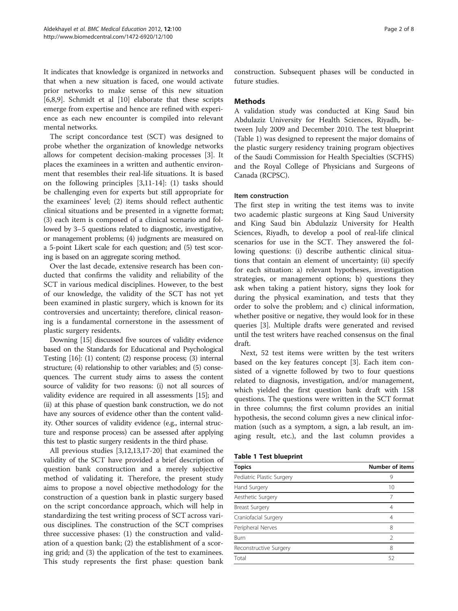<span id="page-1-0"></span>It indicates that knowledge is organized in networks and that when a new situation is faced, one would activate prior networks to make sense of this new situation [[6,8,9\]](#page-7-0). Schmidt et al [\[10\]](#page-7-0) elaborate that these scripts emerge from expertise and hence are refined with experience as each new encounter is compiled into relevant mental networks.

The script concordance test (SCT) was designed to probe whether the organization of knowledge networks allows for competent decision-making processes [\[3](#page-7-0)]. It places the examinees in a written and authentic environment that resembles their real-life situations. It is based on the following principles [\[3,11-14](#page-7-0)]: (1) tasks should be challenging even for experts but still appropriate for the examinees' level; (2) items should reflect authentic clinical situations and be presented in a vignette format; (3) each item is composed of a clinical scenario and followed by 3–5 questions related to diagnostic, investigative, or management problems; (4) judgments are measured on a 5-point Likert scale for each question; and (5) test scoring is based on an aggregate scoring method.

Over the last decade, extensive research has been conducted that confirms the validity and reliability of the SCT in various medical disciplines. However, to the best of our knowledge, the validity of the SCT has not yet been examined in plastic surgery, which is known for its controversies and uncertainty; therefore, clinical reasoning is a fundamental cornerstone in the assessment of plastic surgery residents.

Downing [\[15\]](#page-7-0) discussed five sources of validity evidence based on the Standards for Educational and Psychological Testing [\[16\]](#page-7-0): (1) content; (2) response process; (3) internal structure; (4) relationship to other variables; and (5) consequences. The current study aims to assess the content source of validity for two reasons: (i) not all sources of validity evidence are required in all assessments [[15](#page-7-0)]; and (ii) at this phase of question bank construction, we do not have any sources of evidence other than the content validity. Other sources of validity evidence (e.g., internal structure and response process) can be assessed after applying this test to plastic surgery residents in the third phase.

All previous studies [[3,12,13,17-20](#page-7-0)] that examined the validity of the SCT have provided a brief description of question bank construction and a merely subjective method of validating it. Therefore, the present study aims to propose a novel objective methodology for the construction of a question bank in plastic surgery based on the script concordance approach, which will help in standardizing the test writing process of SCT across various disciplines. The construction of the SCT comprises three successive phases: (1) the construction and validation of a question bank; (2) the establishment of a scoring grid; and (3) the application of the test to examinees. This study represents the first phase: question bank construction. Subsequent phases will be conducted in future studies.

# Methods

A validation study was conducted at King Saud bin Abdulaziz University for Health Sciences, Riyadh, between July 2009 and December 2010. The test blueprint (Table 1) was designed to represent the major domains of the plastic surgery residency training program objectives of the Saudi Commission for Health Specialties (SCFHS) and the Royal College of Physicians and Surgeons of Canada (RCPSC).

### Item construction

The first step in writing the test items was to invite two academic plastic surgeons at King Saud University and King Saud bin Abdulaziz University for Health Sciences, Riyadh, to develop a pool of real-life clinical scenarios for use in the SCT. They answered the following questions: (i) describe authentic clinical situations that contain an element of uncertainty; (ii) specify for each situation: a) relevant hypotheses, investigation strategies, or management options; b) questions they ask when taking a patient history, signs they look for during the physical examination, and tests that they order to solve the problem; and c) clinical information, whether positive or negative, they would look for in these queries [[3](#page-7-0)]. Multiple drafts were generated and revised until the test writers have reached consensus on the final draft.

Next, 52 test items were written by the test writers based on the key features concept [[3](#page-7-0)]. Each item consisted of a vignette followed by two to four questions related to diagnosis, investigation, and/or management, which yielded the first question bank draft with 158 questions. The questions were written in the SCT format in three columns; the first column provides an initial hypothesis, the second column gives a new clinical information (such as a symptom, a sign, a lab result, an imaging result, etc.), and the last column provides a

|  |  |  |  | <b>Table 1 Test blueprint</b> |
|--|--|--|--|-------------------------------|
|--|--|--|--|-------------------------------|

| <b>Topics</b>             | <b>Number of items</b> |
|---------------------------|------------------------|
| Pediatric Plastic Surgery | g                      |
| Hand Surgery              | 10                     |
| Aesthetic Surgery         |                        |
| <b>Breast Surgery</b>     | 4                      |
| Craniofacial Surgery      | 4                      |
| Peripheral Nerves         | 8                      |
| Burn                      | $\mathcal{P}$          |
| Reconstructive Surgery    | 8                      |
| Total                     | 52                     |
|                           |                        |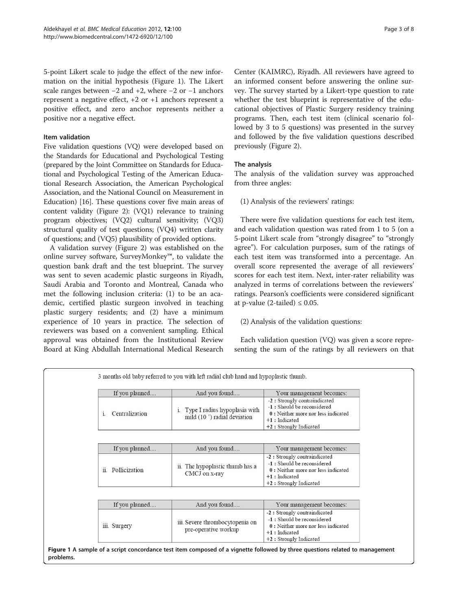5-point Likert scale to judge the effect of the new information on the initial hypothesis (Figure 1). The Likert scale ranges between −2 and +2, where −2 or −1 anchors represent a negative effect, +2 or +1 anchors represent a positive effect, and zero anchor represents neither a positive nor a negative effect.

# Item validation

Five validation questions (VQ) were developed based on the Standards for Educational and Psychological Testing (prepared by the Joint Committee on Standards for Educational and Psychological Testing of the American Educational Research Association, the American Psychological Association, and the National Council on Measurement in Education) [\[16](#page-7-0)]. These questions cover five main areas of content validity (Figure [2\)](#page-3-0): (VQ1) relevance to training program objectives; (VQ2) cultural sensitivity; (VQ3) structural quality of test questions; (VQ4) written clarity of questions; and (VQ5) plausibility of provided options.

A validation survey (Figure [2\)](#page-3-0) was established on the online survey software, SurveyMonkey™, to validate the question bank draft and the test blueprint. The survey was sent to seven academic plastic surgeons in Riyadh, Saudi Arabia and Toronto and Montreal, Canada who met the following inclusion criteria: (1) to be an academic, certified plastic surgeon involved in teaching plastic surgery residents; and (2) have a minimum experience of 10 years in practice. The selection of reviewers was based on a convenient sampling. Ethical approval was obtained from the Institutional Review Board at King Abdullah International Medical Research

Center (KAIMRC), Riyadh. All reviewers have agreed to an informed consent before answering the online survey. The survey started by a Likert-type question to rate whether the test blueprint is representative of the educational objectives of Plastic Surgery residency training programs. Then, each test item (clinical scenario followed by 3 to 5 questions) was presented in the survey and followed by the five validation questions described previously (Figure [2\)](#page-3-0).

# The analysis

The analysis of the validation survey was approached from three angles:

(1) Analysis of the reviewers' ratings:

There were five validation questions for each test item, and each validation question was rated from 1 to 5 (on a 5-point Likert scale from "strongly disagree" to "strongly agree"). For calculation purposes, sum of the ratings of each test item was transformed into a percentage. An overall score represented the average of all reviewers' scores for each test item. Next, inter-rater reliability was analyzed in terms of correlations between the reviewers' ratings. Pearson's coefficients were considered significant at p-value (2-tailed)  $\leq$  0.05.

# (2) Analysis of the validation questions:

Each validation question (VQ) was given a score representing the sum of the ratings by all reviewers on that

| If you planned       | And you found                                                               | Your management becomes:                                                                                                                            |
|----------------------|-----------------------------------------------------------------------------|-----------------------------------------------------------------------------------------------------------------------------------------------------|
| Centralization<br>1. | Type I radius hypoplasia with<br>1.<br>mild $(10 \degree)$ radial deviation | -2 : Strongly contraindicated<br>-1 : Should be reconsidered<br>0 : Neither more nor less indicated<br>$+1$ : Indicated<br>+2 : Strongly Indicated  |
|                      |                                                                             |                                                                                                                                                     |
| If you planned       | And you found                                                               | Your management becomes:                                                                                                                            |
| Pollicization<br>ii. | ii. The hypoplastic thumb has a<br>CMCJ on x-ray                            | -2 : Strongly contraindicated<br>-1 : Should be reconsidered<br>$0:$ Neither more nor less indicated<br>$+1$ : Indicated<br>+2 : Strongly Indicated |
|                      |                                                                             |                                                                                                                                                     |
| If you planned       | And you found                                                               | Your management becomes:                                                                                                                            |
| iii. Surgery         | iii. Severe thrombocytopenia on<br>pre-operative workup                     | -2 : Strongly contraindicated<br>-1 : Should be reconsidered<br>0 : Neither more nor less indicated<br>$+1$ : Indicated<br>+2 : Strongly Indicated  |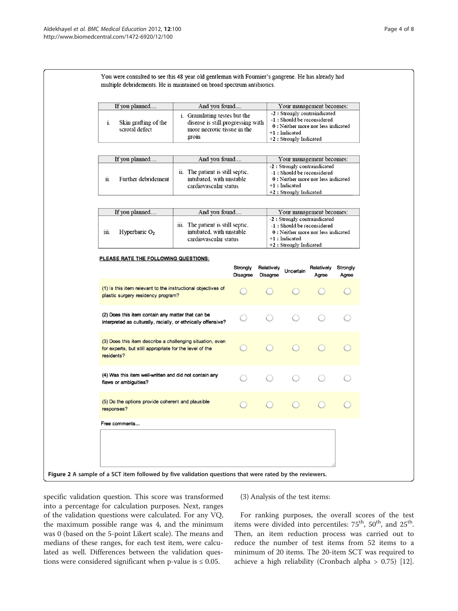<span id="page-3-0"></span>

| If you planned                                                                                                                     |  | And you found                                                                                              |                 |                 | Your management becomes:                                                                                                                          |            |          |  |
|------------------------------------------------------------------------------------------------------------------------------------|--|------------------------------------------------------------------------------------------------------------|-----------------|-----------------|---------------------------------------------------------------------------------------------------------------------------------------------------|------------|----------|--|
| i.<br>Skin grafting of the<br>scrotal defect                                                                                       |  | i. Granulating testes but the<br>disease is still progressing with<br>more necrotic tissue in the<br>groin |                 |                 | -2 : Strongly contraindicated<br>-1 : Should be reconsidered<br>0 : Neither more nor less indicated<br>+1 : Indicated<br>+2 : Strongly Indicated  |            |          |  |
|                                                                                                                                    |  |                                                                                                            |                 |                 |                                                                                                                                                   |            |          |  |
| If you planned                                                                                                                     |  | And you found                                                                                              |                 |                 | Your management becomes:                                                                                                                          |            |          |  |
| Further debridement<br>ii.                                                                                                         |  | ii. The patient is still septic,<br>intubated, with unstable<br>cardiovascular status                      |                 |                 | -2 : Strongly contraindicated<br>-1 : Should be reconsidered<br>0 : Neither more nor less indicated<br>+1 : Indicated<br>+2 : Strongly Indicated  |            |          |  |
|                                                                                                                                    |  |                                                                                                            |                 |                 |                                                                                                                                                   |            |          |  |
| If you planned                                                                                                                     |  | And you found                                                                                              |                 |                 | Your management becomes:                                                                                                                          |            |          |  |
| Hyperbaric $O2$<br>iii.                                                                                                            |  | iii. The patient is still septic,<br>intubated, with unstable<br>cardiovascular status                     |                 |                 | -2 : Strongly contraindicated<br>-1 : Should be reconsidered<br>0 : Neither more nor less indicated<br>$+1:$ Indicated<br>+2 : Strongly Indicated |            |          |  |
| PLEASE RATE THE FOLLOWING QUESTIONS:                                                                                               |  |                                                                                                            |                 |                 |                                                                                                                                                   |            |          |  |
|                                                                                                                                    |  |                                                                                                            | Strongly        | Relatively      | Uncertain                                                                                                                                         | Relatively | Strongly |  |
| (1) Is this item relevant to the instructional objectives of<br>plastic surgery residency program?                                 |  |                                                                                                            | <b>Disagree</b> | <b>Disagree</b> |                                                                                                                                                   | Agree      | Agree    |  |
|                                                                                                                                    |  |                                                                                                            |                 |                 |                                                                                                                                                   |            |          |  |
| interpreted as culturally, racially, or ethnically offensive?                                                                      |  | (2) Does this item contain any matter that can be                                                          |                 |                 |                                                                                                                                                   |            |          |  |
| (3) Does this item describe a challenging situation, even<br>for experts, but still appropriate for the level of the<br>residents? |  |                                                                                                            |                 |                 |                                                                                                                                                   |            |          |  |
| (4) Was this item well-written and did not contain any<br>flaws or ambiguities?                                                    |  |                                                                                                            |                 |                 |                                                                                                                                                   |            |          |  |
| (5) Do the options provide coherent and plausible<br>responses?                                                                    |  |                                                                                                            |                 |                 |                                                                                                                                                   |            |          |  |
| Free comments                                                                                                                      |  |                                                                                                            |                 |                 |                                                                                                                                                   |            |          |  |
| Figure 2 A sample of a SCT item followed by five validation questions that were rated by the reviewers.                            |  |                                                                                                            |                 |                 |                                                                                                                                                   |            |          |  |

specific validation question. This score was transformed into a percentage for calculation purposes. Next, ranges of the validation questions were calculated. For any VQ, the maximum possible range was 4, and the minimum was 0 (based on the 5-point Likert scale). The means and medians of these ranges, for each test item, were calculated as well. Differences between the validation questions were considered significant when p-value is  $\leq 0.05$ .

# (3) Analysis of the test items:

For ranking purposes, the overall scores of the test items were divided into percentiles: 75<sup>th</sup>, 50<sup>th</sup>, and 25<sup>th</sup>. Then, an item reduction process was carried out to reduce the number of test items from 52 items to a minimum of 20 items. The 20-item SCT was required to achieve a high reliability (Cronbach alpha > 0.75) [\[12](#page-7-0)].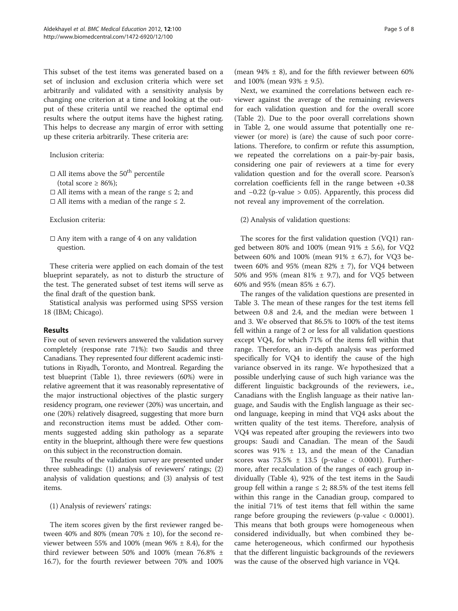This subset of the test items was generated based on a set of inclusion and exclusion criteria which were set arbitrarily and validated with a sensitivity analysis by changing one criterion at a time and looking at the output of these criteria until we reached the optimal end results where the output items have the highest rating. This helps to decrease any margin of error with setting up these criteria arbitrarily. These criteria are:

Inclusion criteria:

- $\Box$  All items above the 50<sup>th</sup> percentile (total score  $\geq 86\%$ );
- $\Box$  All items with a mean of the range  $\leq$  2; and
- $\Box$  All items with a median of the range  $\leq$  2.

Exclusion criteria:

 $\Box$  Any item with a range of 4 on any validation question.

These criteria were applied on each domain of the test blueprint separately, as not to disturb the structure of the test. The generated subset of test items will serve as the final draft of the question bank.

Statistical analysis was performed using SPSS version 18 (IBM; Chicago).

# Results

Five out of seven reviewers answered the validation survey completely (response rate 71%): two Saudis and three Canadians. They represented four different academic institutions in Riyadh, Toronto, and Montreal. Regarding the test blueprint (Table [1](#page-1-0)), three reviewers (60%) were in relative agreement that it was reasonably representative of the major instructional objectives of the plastic surgery residency program, one reviewer (20%) was uncertain, and one (20%) relatively disagreed, suggesting that more burn and reconstruction items must be added. Other comments suggested adding skin pathology as a separate entity in the blueprint, although there were few questions on this subject in the reconstruction domain.

The results of the validation survey are presented under three subheadings: (1) analysis of reviewers' ratings; (2) analysis of validation questions; and (3) analysis of test items.

(1) Analysis of reviewers' ratings:

The item scores given by the first reviewer ranged between 40% and 80% (mean 70%  $\pm$  10), for the second reviewer between 55% and 100% (mean  $96\% \pm 8.4$ ), for the third reviewer between 50% and 100% (mean 76.8%  $\pm$ 16.7), for the fourth reviewer between 70% and 100%

(mean  $94\% \pm 8$ ), and for the fifth reviewer between 60% and 100% (mean 93% ± 9.5).

Next, we examined the correlations between each reviewer against the average of the remaining reviewers for each validation question and for the overall score (Table [2\)](#page-5-0). Due to the poor overall correlations shown in Table [2,](#page-5-0) one would assume that potentially one reviewer (or more) is (are) the cause of such poor correlations. Therefore, to confirm or refute this assumption, we repeated the correlations on a pair-by-pair basis, considering one pair of reviewers at a time for every validation question and for the overall score. Pearson's correlation coefficients fell in the range between +0.38 and −0.22 (p-value > 0.05). Apparently, this process did not reveal any improvement of the correlation.

(2) Analysis of validation questions:

The scores for the first validation question (VQ1) ranged between 80% and 100% (mean  $91\% \pm 5.6$ ), for VQ2 between 60% and 100% (mean 91%  $\pm$  6.7), for VQ3 between 60% and 95% (mean  $82\% \pm 7$ ), for VQ4 between 50% and 95% (mean 81%  $\pm$  9.7), and for VQ5 between 60% and 95% (mean  $85% \pm 6.7$ ).

The ranges of the validation questions are presented in Table [3](#page-5-0). The mean of these ranges for the test items fell between 0.8 and 2.4, and the median were between 1 and 3. We observed that 86.5% to 100% of the test items fell within a range of 2 or less for all validation questions except VQ4, for which 71% of the items fell within that range. Therefore, an in-depth analysis was performed specifically for VQ4 to identify the cause of the high variance observed in its range. We hypothesized that a possible underlying cause of such high variance was the different linguistic backgrounds of the reviewers, i.e., Canadians with the English language as their native language, and Saudis with the English language as their second language, keeping in mind that VQ4 asks about the written quality of the test items. Therefore, analysis of VQ4 was repeated after grouping the reviewers into two groups: Saudi and Canadian. The mean of the Saudi scores was  $91\% \pm 13$ , and the mean of the Canadian scores was  $73.5\% \pm 13.5$  (p-value < 0.0001). Furthermore, after recalculation of the ranges of each group individually (Table [4\)](#page-6-0), 92% of the test items in the Saudi group fell within a range  $\leq$  2; 88.5% of the test items fell within this range in the Canadian group, compared to the initial 71% of test items that fell within the same range before grouping the reviewers (p-value < 0.0001). This means that both groups were homogeneous when considered individually, but when combined they became heterogeneous, which confirmed our hypothesis that the different linguistic backgrounds of the reviewers was the cause of the observed high variance in VQ4.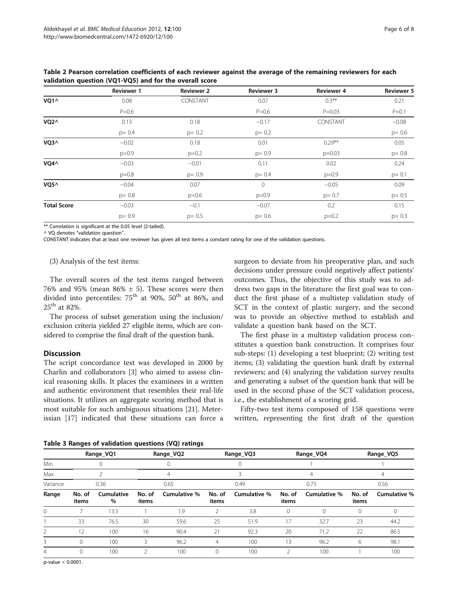|                    | <b>Reviewer 1</b> | <b>Reviewer 2</b> | <b>Reviewer 3</b> | <b>Reviewer 4</b> | <b>Reviewer 5</b> |
|--------------------|-------------------|-------------------|-------------------|-------------------|-------------------|
| VQ1^               | 0.08              | CONSTANT          | 0.07              | $0.3***$          | 0.21              |
|                    | $P = 0.6$         |                   | $P = 0.6$         | $P = 0.03$        | $P = 0.1$         |
| VQ <sub>2</sub> ^  | 0.13              | 0.18              | $-0.17$           | CONSTANT          | $-0.08$           |
|                    | $p = 0.4$         | $p = 0.2$         | $p = 0.2$         |                   | $p = 0.6$         |
| VQ3^               | $-0.02$           | 0.18              | 0.01              | $0.29***$         | 0.05              |
|                    | $p=0.9$           | $p=0.2$           | $p = 0.9$         | $p=0.03$          | $p = 0.8$         |
| VQ4^               | $-0.03$           | $-0.01$           | 0.11              | 0.02              | 0.24              |
|                    | $p=0.8$           | $p = 0.9$         | $p = 0.4$         | $p=0.9$           | $p = 0.1$         |
| VQ5^               | $-0.04$           | 0.07              | $\mathbf 0$       | $-0.05$           | 0.09              |
|                    | $p = 0.8$         | $p=0.6$           | $p=0.9$           | $p = 0.7$         | $p = 0.5$         |
| <b>Total Score</b> | $-0.03$           | $-0.1$            | $-0.07$           | 0.2               | 0.15              |
|                    | $p = 0.9$         | $p = 0.5$         | $p = 0.6$         | $p=0.2$           | $p = 0.3$         |

<span id="page-5-0"></span>Table 2 Pearson correlation coefficients of each reviewer against the average of the remaining reviewers for each validation question (VQ1-VQ5) and for the overall score

\*\* Correlation is significant at the 0.05 level (2-tailed).

^ VQ denotes "validation question".

CONSTANT indicates that at least one reviewer has given all test items a constant rating for one of the validation questions.

(3) Analysis of the test items:

The overall scores of the test items ranged between 76% and 95% (mean 86%  $\pm$  5). These scores were then divided into percentiles:  $75<sup>th</sup>$  at 90%,  $50<sup>th</sup>$  at 86%, and  $25^{\text{th}}$  at 82%.

The process of subset generation using the inclusion/ exclusion criteria yielded 27 eligible items, which are considered to comprise the final draft of the question bank.

#### **Discussion**

The script concordance test was developed in 2000 by Charlin and collaborators [\[3](#page-7-0)] who aimed to assess clinical reasoning skills. It places the examinees in a written and authentic environment that resembles their real-life situations. It utilizes an aggregate scoring method that is most suitable for such ambiguous situations [\[21](#page-7-0)]. Meterissian [[17](#page-7-0)] indicated that these situations can force a surgeon to deviate from his preoperative plan, and such decisions under pressure could negatively affect patients' outcomes. Thus, the objective of this study was to address two gaps in the literature: the first goal was to conduct the first phase of a multistep validation study of SCT in the context of plastic surgery, and the second was to provide an objective method to establish and validate a question bank based on the SCT.

The first phase in a multistep validation process constitutes a question bank construction. It comprises four sub-steps: (1) developing a test blueprint; (2) writing test items; (3) validating the question bank draft by external reviewers; and (4) analyzing the validation survey results and generating a subset of the question bank that will be used in the second phase of the SCT validation process, i.e., the establishment of a scoring grid.

Fifty-two test items composed of 158 questions were written, representing the first draft of the question

Table 3 Ranges of validation questions (VQ) ratings

|          | -9 - -          |                    |                 |              |                 |              |                 |              |                 |              |
|----------|-----------------|--------------------|-----------------|--------------|-----------------|--------------|-----------------|--------------|-----------------|--------------|
|          |                 | Range_VQ1          |                 | Range_VQ2    |                 | Range_VQ3    |                 | Range_VQ4    |                 | Range_VQ5    |
| Min      |                 |                    |                 |              | 0               |              |                 |              |                 |              |
| Max      |                 |                    | 4               |              | 3               |              | 4               |              | 4               |              |
| Variance |                 | 0.36               |                 | 0.65         |                 | 0.49         |                 | 0.75         |                 | 0.56         |
| Range    | No. of<br>items | Cumulative<br>$\%$ | No. of<br>items | Cumulative % | No. of<br>items | Cumulative % | No. of<br>items | Cumulative % | No. of<br>items | Cumulative % |
|          |                 | 13.5               |                 | 1.9          |                 | 3.8          | $\Omega$        | $\mathbf 0$  | $\mathbf{0}$    |              |
|          | 33              | 76.5               | 30              | 59.6         | 25              | 51.9         | 17              | 32.7         | 23              | 44.2         |
|          | 12              | 100                | 16              | 90.4         | 21              | 92.3         | 20              | 71.2         | 22              | 86.5         |
|          | 0               | 100                | 3               | 96.2         | 4               | 100          | 13              | 96.2         | 6               | 98.1         |
|          | 0               | 100                | 2               | 100          |                 | 100          | $\mathcal{P}$   | 100          |                 | 100          |

p-value < 0.0001.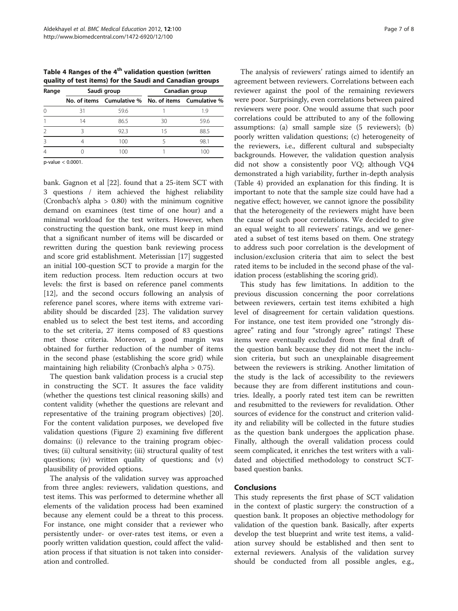<span id="page-6-0"></span>Table 4 Ranges of the 4<sup>th</sup> validation question (written quality of test items) for the Saudi and Canadian groups

|    |      | Canadian group |                                                     |  |  |
|----|------|----------------|-----------------------------------------------------|--|--|
|    |      |                |                                                     |  |  |
| 31 | 59.6 |                | 19                                                  |  |  |
| 14 | 86.5 | 30             | 59.6                                                |  |  |
|    | 92.3 | 15             | 88.5                                                |  |  |
|    | 100  |                | 98.1                                                |  |  |
|    | 100  |                | 100                                                 |  |  |
|    |      | Saudi group    | No. of items Cumulative % No. of items Cumulative % |  |  |

p-value < 0.0001.

bank. Gagnon et al [\[22](#page-7-0)]. found that a 25-item SCT with 3 questions / item achieved the highest reliability (Cronbach's alpha  $> 0.80$ ) with the minimum cognitive demand on examinees (test time of one hour) and a minimal workload for the test writers. However, when constructing the question bank, one must keep in mind that a significant number of items will be discarded or rewritten during the question bank reviewing process and score grid establishment. Meterissian [[17\]](#page-7-0) suggested an initial 100-question SCT to provide a margin for the item reduction process. Item reduction occurs at two levels: the first is based on reference panel comments [[12\]](#page-7-0), and the second occurs following an analysis of reference panel scores, where items with extreme variability should be discarded [[23\]](#page-7-0). The validation survey enabled us to select the best test items, and according to the set criteria, 27 items composed of 83 questions met those criteria. Moreover, a good margin was obtained for further reduction of the number of items in the second phase (establishing the score grid) while maintaining high reliability (Cronbach's alpha > 0.75).

The question bank validation process is a crucial step in constructing the SCT. It assures the face validity (whether the questions test clinical reasoning skills) and content validity (whether the questions are relevant and representative of the training program objectives) [\[20](#page-7-0)]. For the content validation purposes, we developed five validation questions (Figure [2\)](#page-3-0) examining five different domains: (i) relevance to the training program objectives; (ii) cultural sensitivity; (iii) structural quality of test questions; (iv) written quality of questions; and (v) plausibility of provided options.

The analysis of the validation survey was approached from three angles: reviewers, validation questions, and test items. This was performed to determine whether all elements of the validation process had been examined because any element could be a threat to this process. For instance, one might consider that a reviewer who persistently under- or over-rates test items, or even a poorly written validation question, could affect the validation process if that situation is not taken into consideration and controlled.

The analysis of reviewers' ratings aimed to identify an agreement between reviewers. Correlations between each reviewer against the pool of the remaining reviewers were poor. Surprisingly, even correlations between paired reviewers were poor. One would assume that such poor correlations could be attributed to any of the following assumptions: (a) small sample size (5 reviewers); (b) poorly written validation questions; (c) heterogeneity of the reviewers, i.e., different cultural and subspecialty backgrounds. However, the validation question analysis did not show a consistently poor VQ; although VQ4 demonstrated a high variability, further in-depth analysis (Table 4) provided an explanation for this finding. It is important to note that the sample size could have had a negative effect; however, we cannot ignore the possibility that the heterogeneity of the reviewers might have been the cause of such poor correlations. We decided to give an equal weight to all reviewers' ratings, and we generated a subset of test items based on them. One strategy to address such poor correlation is the development of inclusion/exclusion criteria that aim to select the best rated items to be included in the second phase of the validation process (establishing the scoring grid).

This study has few limitations. In addition to the previous discussion concerning the poor correlations between reviewers, certain test items exhibited a high level of disagreement for certain validation questions. For instance, one test item provided one "strongly disagree" rating and four "strongly agree" ratings! These items were eventually excluded from the final draft of the question bank because they did not meet the inclusion criteria, but such an unexplainable disagreement between the reviewers is striking. Another limitation of the study is the lack of accessibility to the reviewers because they are from different institutions and countries. Ideally, a poorly rated test item can be rewritten and resubmitted to the reviewers for revalidation. Other sources of evidence for the construct and criterion validity and reliability will be collected in the future studies as the question bank undergoes the application phase. Finally, although the overall validation process could seem complicated, it enriches the test writers with a validated and objectified methodology to construct SCTbased question banks.

### Conclusions

This study represents the first phase of SCT validation in the context of plastic surgery: the construction of a question bank. It proposes an objective methodology for validation of the question bank. Basically, after experts develop the test blueprint and write test items, a validation survey should be established and then sent to external reviewers. Analysis of the validation survey should be conducted from all possible angles, e.g.,